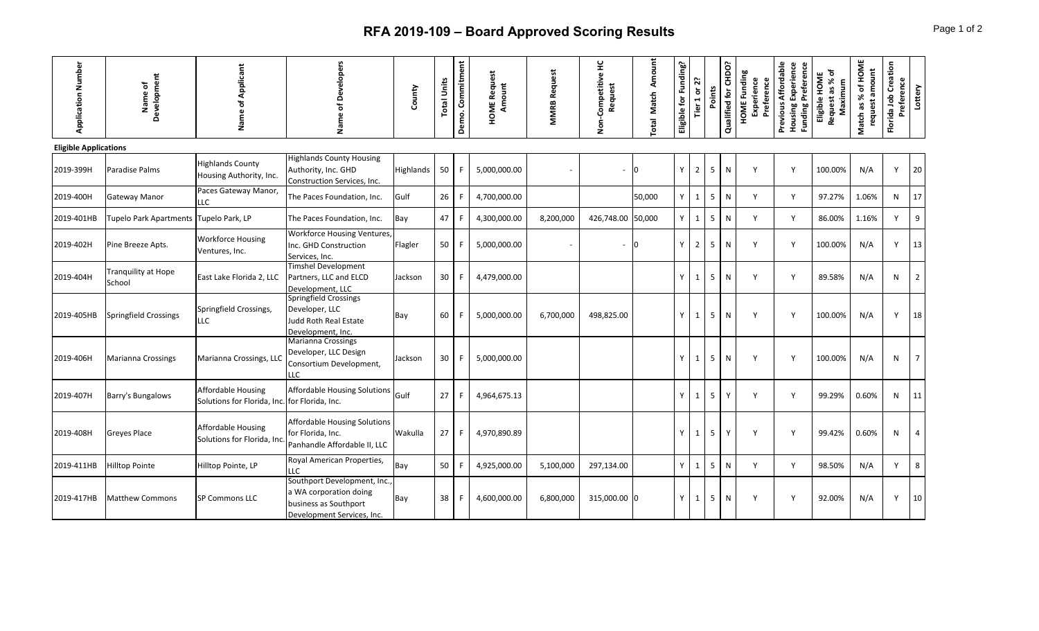## **RFA 2019-109 - Board Approved Scoring Results** Page 1 of 2

| <b>Application Number</b>    | Development<br>Name of                 | Applicant<br>৳<br>Name                                   | of Developers<br>Name                                                                                        | County    | <b>Total Units</b> | Demo. Commitment | <b>HOME Request</b><br>Amount | <b>MMRB Request</b> | 呈<br>Competitive<br>Request<br><b>Don</b> | Amount<br><b>Match</b><br>Total | Eligible for Funding? | Tier 1 or 2?   | Points         | Qualified for CHDO? | <b>HOME Funding</b><br>Experience<br>Preference | Previous Affordable<br>Experience<br>Funding Preference<br>Housing | Request as % of<br>Eligible HOME<br>Maximum | Match as % of HOME<br>request amount | Florida Job Creation<br>Preference | Lottery        |
|------------------------------|----------------------------------------|----------------------------------------------------------|--------------------------------------------------------------------------------------------------------------|-----------|--------------------|------------------|-------------------------------|---------------------|-------------------------------------------|---------------------------------|-----------------------|----------------|----------------|---------------------|-------------------------------------------------|--------------------------------------------------------------------|---------------------------------------------|--------------------------------------|------------------------------------|----------------|
| <b>Eligible Applications</b> |                                        |                                                          |                                                                                                              |           |                    |                  |                               |                     |                                           |                                 |                       |                |                |                     |                                                 |                                                                    |                                             |                                      |                                    |                |
| 2019-399H                    | Paradise Palms                         | <b>Highlands County</b><br>Housing Authority, Inc.       | <b>Highlands County Housing</b><br>Authority, Inc. GHD<br>Construction Services, Inc.                        | Highlands | 50                 |                  | 5,000,000.00                  |                     |                                           | Iо                              | ٧                     | $\overline{2}$ | 5              | N                   | Y                                               | Y                                                                  | 100.00%                                     | N/A                                  | Y                                  | $ 20\rangle$   |
| 2019-400H                    | Gateway Manor                          | Paces Gateway Manor,<br><b>LLC</b>                       | The Paces Foundation, Inc.                                                                                   | Gulf      | 26                 |                  | 4,700,000.00                  |                     |                                           | 50,000                          | Y                     | $\mathbf{1}$   | 5              | ${\sf N}$           | Y                                               | Y                                                                  | 97.27%                                      | 1.06%                                | N                                  | 17             |
| 2019-401HB                   | Tupelo Park Apartments Tupelo Park, LP |                                                          | The Paces Foundation, Inc.                                                                                   | Bay       | 47                 |                  | 4,300,000.00                  | 8,200,000           | 426,748.00 50,000                         |                                 | Y                     | $\mathbf{1}$   | 5              | N                   | Y                                               | Y                                                                  | 86.00%                                      | 1.16%                                | Y                                  | 9              |
| 2019-402H                    | Pine Breeze Apts.                      | <b>Workforce Housing</b><br>Ventures, Inc.               | <b>Workforce Housing Ventures,</b><br>Inc. GHD Construction<br>Services, Inc.                                | Flagler   | 50                 |                  | 5,000,000.00                  |                     |                                           | 0                               | Y                     | $\overline{2}$ | 5              | N                   | Y                                               | Y                                                                  | 100.00%                                     | N/A                                  | Y                                  | 13             |
| 2019-404H                    | Tranquility at Hope<br>School          | East Lake Florida 2, LLC                                 | <b>Timshel Development</b><br>Partners, LLC and ELCD<br>Development, LLC                                     | Jackson   | 30                 |                  | 4,479,000.00                  |                     |                                           |                                 | Y                     | $\mathbf{1}$   | 5              | N                   | Y                                               | Y                                                                  | 89.58%                                      | N/A                                  | N                                  | $\overline{2}$ |
| 2019-405HB                   | Springfield Crossings                  | Springfield Crossings,<br>LLC                            | Springfield Crossings<br>Developer, LLC<br>Judd Roth Real Estate<br>Development, Inc.                        | Bay       | 60                 |                  | 5,000,000.00                  | 6,700,000           | 498,825.00                                |                                 | Υ                     | 1              | 5              | N                   | Y                                               | Y                                                                  | 100.00%                                     | N/A                                  | Y                                  | 18             |
| 2019-406H                    | Marianna Crossings                     | Marianna Crossings, LLC                                  | <b>Marianna Crossings</b><br>Developer, LLC Design<br>Consortium Development,<br>LLC.                        | Jackson   | 30                 |                  | 5,000,000.00                  |                     |                                           |                                 | Υ                     | 1              | 5              | N                   | Y                                               | Y                                                                  | 100.00%                                     | N/A                                  | N                                  | $\overline{7}$ |
| 2019-407H                    | Barry's Bungalows                      | <b>Affordable Housing</b><br>Solutions for Florida, Inc. | <b>Affordable Housing Solutions</b><br>for Florida, Inc.                                                     | Gulf      | 27 <sup>1</sup>    |                  | 4,964,675.13                  |                     |                                           |                                 | Y                     | 1              | 5              | Y                   | Y                                               | Y                                                                  | 99.29%                                      | 0.60%                                | N                                  | 11             |
| 2019-408H                    | Greyes Place                           | Affordable Housing<br>Solutions for Florida, Inc.        | <b>Affordable Housing Solutions</b><br>for Florida, Inc.<br>Panhandle Affordable II, LLC                     | Wakulla   | 27                 |                  | 4,970,890.89                  |                     |                                           |                                 | Y                     | $\mathbf{1}$   | 5              | Y                   | Y                                               | Y                                                                  | 99.42%                                      | 0.60%                                | N                                  | $\overline{4}$ |
| 2019-411HB                   | Hilltop Pointe                         | Hilltop Pointe, LP                                       | Royal American Properties,<br>LLC                                                                            | Bay       | 50                 |                  | 4,925,000.00                  | 5,100,000           | 297,134.00                                |                                 | Y                     | $\overline{1}$ | 5 <sup>1</sup> | N                   | Y                                               | Y                                                                  | 98.50%                                      | N/A                                  | Y                                  | 8              |
| 2019-417HB                   | <b>Matthew Commons</b>                 | <b>SP Commons LLC</b>                                    | Southport Development, Inc.<br>a WA corporation doing<br>business as Southport<br>Development Services, Inc. | Bay       | 38                 |                  | 4,600,000.00                  | 6,800,000           | 315,000.00 0                              |                                 |                       | 1              | 5              | N                   | Y                                               | Y                                                                  | 92.00%                                      | N/A                                  | Y                                  | 10             |